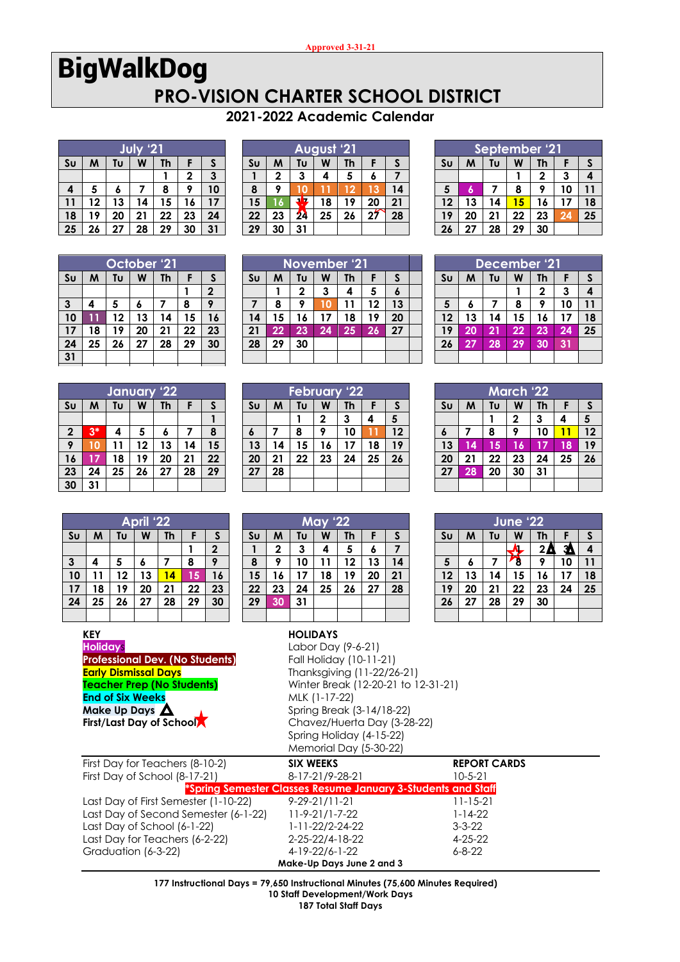## BigWalkDog **PRO-VISION CHARTER SCHOOL DISTRICT**

## **2021-2022 Academic Calendar**

|                | $^{12}$<br>July              |    |    |    |              |    |  |  |  |  |  |  |  |
|----------------|------------------------------|----|----|----|--------------|----|--|--|--|--|--|--|--|
| S <sub>U</sub> | W<br>Th<br>Tυ<br>M<br>S<br>F |    |    |    |              |    |  |  |  |  |  |  |  |
|                |                              |    |    |    | $\mathbf{2}$ | 3  |  |  |  |  |  |  |  |
| 4              | 5                            | 6  |    | 8  | 9            | 10 |  |  |  |  |  |  |  |
| 11             | 12                           | 13 | 14 | 15 | 16           | 17 |  |  |  |  |  |  |  |
| 18             | 19                           | 20 | 21 | 22 | 23           | 24 |  |  |  |  |  |  |  |
| 25             | 26                           | 27 | 28 | 29 | 30           | 31 |  |  |  |  |  |  |  |

|                | August '21 |                |    |    |    |    |  |  |  |  |  |  |  |
|----------------|------------|----------------|----|----|----|----|--|--|--|--|--|--|--|
| S <sub>U</sub> | М          | Tυ             | W  | Th | F  | S  |  |  |  |  |  |  |  |
|                | 2          | 3              | 4  | 5  | 6  |    |  |  |  |  |  |  |  |
| 8              | 9          |                |    | 12 | 13 | 14 |  |  |  |  |  |  |  |
| 15             | 16         |                | 18 | 19 | 20 | 21 |  |  |  |  |  |  |  |
| 22             | 23         | 2 <sub>4</sub> | 25 | 26 | 27 | 28 |  |  |  |  |  |  |  |
| 29             | 30         | 31             |    |    |    |    |  |  |  |  |  |  |  |

|                | September '21                |              |    |    |    |    |  |  |  |  |  |  |
|----------------|------------------------------|--------------|----|----|----|----|--|--|--|--|--|--|
| S <sub>U</sub> | Tυ<br>Th<br>W<br>M<br>S<br>F |              |    |    |    |    |  |  |  |  |  |  |
|                |                              | $\mathbf{2}$ | 3  | 4  |    |    |  |  |  |  |  |  |
| 5              | 6                            |              | 8  | 9  | 10 | 11 |  |  |  |  |  |  |
| 12             | 13                           | 14           | 15 | 16 | 17 | 18 |  |  |  |  |  |  |
| 19             | 20                           | 21           | 22 | 23 | 24 | 25 |  |  |  |  |  |  |
| 26             | 27                           | 28           | 29 | 30 |    |    |  |  |  |  |  |  |

|                | October <sup>1</sup> 21      |                  |    |    |    |    |  |  |  |  |  |  |
|----------------|------------------------------|------------------|----|----|----|----|--|--|--|--|--|--|
| S <sub>U</sub> | Tυ<br>M<br>W<br>Th<br>S<br>F |                  |    |    |    |    |  |  |  |  |  |  |
|                |                              |                  |    |    |    |    |  |  |  |  |  |  |
| $\mathbf{3}$   | 4                            | 9<br>5<br>8<br>6 |    |    |    |    |  |  |  |  |  |  |
| 10             | 11                           | 12               | 13 | 14 | 15 | 16 |  |  |  |  |  |  |
| 17             | 18                           | 19               | 20 | 21 | 22 | 23 |  |  |  |  |  |  |
| 24             | 25                           | 29               | 30 |    |    |    |  |  |  |  |  |  |
| 31             |                              |                  |    |    |    |    |  |  |  |  |  |  |

|                | January '22             |    |    |    |    |    |  |  |  |  |  |  |  |
|----------------|-------------------------|----|----|----|----|----|--|--|--|--|--|--|--|
| S <sub>U</sub> | Tυ<br>M<br>W<br>Th<br>F |    |    |    |    |    |  |  |  |  |  |  |  |
|                |                         |    |    |    |    |    |  |  |  |  |  |  |  |
| $\mathbf{2}$   | $3*$                    | 4  | 5  | 6  |    | 8  |  |  |  |  |  |  |  |
| 9              | 10                      | 11 | 12 | 13 | 14 | 15 |  |  |  |  |  |  |  |
| 16             | 17                      | 18 | 19 | 20 | 21 | 22 |  |  |  |  |  |  |  |
| 23             | 24                      | 25 | 26 | 27 | 28 | 29 |  |  |  |  |  |  |  |
| 30             | 31                      |    |    |    |    |    |  |  |  |  |  |  |  |

|    | <b>November '21</b>          |              |    |    |    |    |  |  |  |  |  |  |
|----|------------------------------|--------------|----|----|----|----|--|--|--|--|--|--|
| Su | W<br>Th<br>M<br>Tυ<br>S<br>F |              |    |    |    |    |  |  |  |  |  |  |
|    |                              | $\mathbf{2}$ | 3  | 4  | 5  | 6  |  |  |  |  |  |  |
|    | 8                            | 9            | 10 | 11 | 12 | 13 |  |  |  |  |  |  |
| 14 | 15                           | 16           | 17 | 18 | 19 | 20 |  |  |  |  |  |  |
| 21 | 22                           | 23           | 24 | 25 | 26 | 27 |  |  |  |  |  |  |
| 28 | 29                           | 30           |    |    |    |    |  |  |  |  |  |  |
|    |                              |              |    |    |    |    |  |  |  |  |  |  |

|                 | <b>February '22</b> |    |    |    |    |    |  |  |  |  |  |  |
|-----------------|---------------------|----|----|----|----|----|--|--|--|--|--|--|
| Su              | M                   | Tυ | F  | S  |    |    |  |  |  |  |  |  |
|                 |                     |    | 2  | 3  | 4  | 5  |  |  |  |  |  |  |
| 6               |                     | 8  | 9  | 10 |    | 12 |  |  |  |  |  |  |
| $\overline{13}$ | 14                  | 15 | 16 | 17 | 18 | 19 |  |  |  |  |  |  |
| 20              | 21                  | 22 | 23 | 24 | 25 | 26 |  |  |  |  |  |  |
| $\overline{27}$ | 28                  |    |    |    |    |    |  |  |  |  |  |  |
|                 |                     |    |    |    |    |    |  |  |  |  |  |  |

| 26             | $\mathbf{z}$ | 28           | 29 | 30           |    |    |
|----------------|--------------|--------------|----|--------------|----|----|
|                |              |              |    |              |    |    |
|                |              | December '21 |    |              |    |    |
| S <sub>U</sub> | M            | Tυ           | W  | <b>Th</b>    | F. | S  |
|                |              |              |    | $\mathbf{2}$ | 3  | 4  |
| $5\phantom{1}$ | 6            | 7            | 8  | 9            | 10 | 11 |
| 12             | 13           | 14           | 15 | 16           | 17 | 18 |
| 19             | 20           | 21           | 22 | 23           | 24 | 25 |
| 26             | 27           | 28           | 29 | 30           | 31 |    |
|                |              |              |    |              |    |    |

| <b>March '22</b> |                         |    |    |    |    |    |  |  |  |  |  |
|------------------|-------------------------|----|----|----|----|----|--|--|--|--|--|
| Su               | Tυ<br>W<br>Th<br>M<br>F |    |    |    |    |    |  |  |  |  |  |
|                  |                         |    | 2  | 3  | 4  | 5  |  |  |  |  |  |
| $\pmb{6}$        | 7                       | 8  | 9  | 10 | 11 | 12 |  |  |  |  |  |
| $\overline{13}$  | 14                      | 15 | 16 | 17 | 18 | 19 |  |  |  |  |  |
| 20               | 21                      | 22 | 23 | 24 | 25 | 26 |  |  |  |  |  |
| 27               | 28                      | 20 | 30 | 31 |    |    |  |  |  |  |  |
|                  |                         |    |    |    |    |    |  |  |  |  |  |

**June '22 Su M Tu W Th F S**

 **6 7 8 9 10 11 13 14 15 16 17 18 20 21 22 23 24 25 27 28 29 30**

 $2$  $\Delta$   $3$   $4$ 

| April '22 |                              |    |    |    |    |                  |  |  |  |  |  |
|-----------|------------------------------|----|----|----|----|------------------|--|--|--|--|--|
| Su        | M<br>W<br>Tυ<br>Th<br>S<br>F |    |    |    |    |                  |  |  |  |  |  |
|           |                              |    |    |    |    | $\boldsymbol{2}$ |  |  |  |  |  |
| 3         | 4                            | 5  | 6  | 7  | 8  | 9                |  |  |  |  |  |
| 10        | 11                           | 12 | 13 | 14 | 15 | 16               |  |  |  |  |  |
| 17        | 18                           | 19 | 20 | 21 | 22 | 23               |  |  |  |  |  |
| 24        | 25                           | 26 | 27 | 28 | 29 | 30               |  |  |  |  |  |
|           |                              |    |    |    |    |                  |  |  |  |  |  |

|                                        | KEY             |  |                                   |  |  |  |  |               |                         | <b>HOLIDAYS</b>    |  |  |                                                         |  |  |  |
|----------------------------------------|-----------------|--|-----------------------------------|--|--|--|--|---------------|-------------------------|--------------------|--|--|---------------------------------------------------------|--|--|--|
|                                        | <b>Holidays</b> |  |                                   |  |  |  |  |               |                         | Labor Day (9-6-21) |  |  |                                                         |  |  |  |
| <b>Professional Dev. (No Students)</b> |                 |  |                                   |  |  |  |  |               | Fall Holiday (10-11-21) |                    |  |  |                                                         |  |  |  |
|                                        |                 |  | <b>Early Dismissal Days</b>       |  |  |  |  |               |                         |                    |  |  | Thanksgiving (11-22/26-21)                              |  |  |  |
|                                        |                 |  | <b>Teacher Prep (No Students)</b> |  |  |  |  |               |                         |                    |  |  | Winter Break (12-20-21 to 1                             |  |  |  |
| <b>End of Six Weeks</b>                |                 |  |                                   |  |  |  |  | MLK (1-17-22) |                         |                    |  |  |                                                         |  |  |  |
|                                        |                 |  | Make Up Days $\Delta$             |  |  |  |  |               |                         |                    |  |  | Spring Break (3-14/18-22)                               |  |  |  |
|                                        |                 |  |                                   |  |  |  |  |               |                         |                    |  |  | $\sim$ $\sim$ $\sim$ $\sim$ $\sim$ $\sim$ $\sim$ $\sim$ |  |  |  |

Graduation  $(6-3-22)$ 

I

## **May '22 Su M Tu W Th F S 1 2 3 4 5 6 7 8 9 10 11 12 13 14 15 16 17 18 19 20 21 22 23 24 25 26 27 28 29 30 31**

|                                  | 25              | 26 | 21                                 | 28                                     | 27 | ა∪ | 27                          | .3U | ا ک |                    |  |   |  |  | z٥                                  |
|----------------------------------|-----------------|----|------------------------------------|----------------------------------------|----|----|-----------------------------|-----|-----|--------------------|--|---|--|--|-------------------------------------|
|                                  |                 |    |                                    |                                        |    |    |                             |     |     |                    |  |   |  |  |                                     |
|                                  | <b>KEY</b>      |    |                                    |                                        |    |    |                             |     |     | <b>HOLIDAYS</b>    |  |   |  |  |                                     |
|                                  | <b>Holidays</b> |    |                                    |                                        |    |    |                             |     |     | Labor Day (9-6-21) |  |   |  |  |                                     |
|                                  |                 |    |                                    | <b>Professional Dev. (No Students)</b> |    |    | Fall Holiday (10-11-21)     |     |     |                    |  |   |  |  |                                     |
|                                  |                 |    |                                    | <b>Early Dismissal Days</b>            |    |    | Thanksgiving (11-22/26-21)  |     |     |                    |  |   |  |  |                                     |
|                                  |                 |    |                                    | <b>Teacher Prep (No Students)</b>      |    |    |                             |     |     |                    |  |   |  |  | Winter Break (12-20-21 to 12-31-21) |
|                                  |                 |    | <b>End of Six Weeks</b>            |                                        |    |    | MLK (1-17-22)               |     |     |                    |  |   |  |  |                                     |
|                                  |                 |    | Make Up Days $\boldsymbol{\Delta}$ |                                        |    |    | Spring Break (3-14/18-22)   |     |     |                    |  |   |  |  |                                     |
| <b>First/Last Day of SchoolA</b> |                 |    |                                    |                                        |    |    | Chavez/Huerta Day (3-28-22) |     |     |                    |  |   |  |  |                                     |
|                                  |                 |    |                                    |                                        |    |    |                             |     |     |                    |  | . |  |  |                                     |

| <b>LIIU UI JIA WEEKS</b><br>Make Up Days $\Delta$<br><b>First/Last Day of School</b> | IVILN IITI/ZZI<br>Spring Break (3-14/18-22)<br>Chavez/Huerta Day (3-28-22)<br>Spring Holiday (4-15-22)<br>Memorial Day (5-30-22) |                     |
|--------------------------------------------------------------------------------------|----------------------------------------------------------------------------------------------------------------------------------|---------------------|
| First Day for Teachers (8-10-2)                                                      | <b>SIX WEEKS</b>                                                                                                                 | <b>REPORT CARDS</b> |
| First Day of School (8-17-21)                                                        | 8-17-21/9-28-21                                                                                                                  | $10 - 5 - 21$       |
|                                                                                      | *Spring Semester Classes Resume January 3-Students and Staff                                                                     |                     |
| Last Day of First Semester (1-10-22)                                                 | $9 - 29 - 21/11 - 21$                                                                                                            | $11 - 15 - 21$      |
| Last Day of Second Semester (6-1-22)                                                 | 11-9-21/1-7-22                                                                                                                   | 1-14-22             |
| Last Day of School (6-1-22)                                                          | 1-11-22/2-24-22                                                                                                                  | $3 - 3 - 22$        |
| Last Day for Teachers (6-2-22)                                                       | 2-25-22/4-18-22                                                                                                                  | $4 - 25 - 22$       |
| Graduation (6-3-22)                                                                  | 4-19-22/6-1-22                                                                                                                   | $6 - 8 - 22$        |

 **177 Instructional Days = 79,650 Instructional Minutes (75,600 Minutes Required) 10 Staff Development/Work Days 187 Total Staff Days**

**Make-Up Days June 2 and 3**